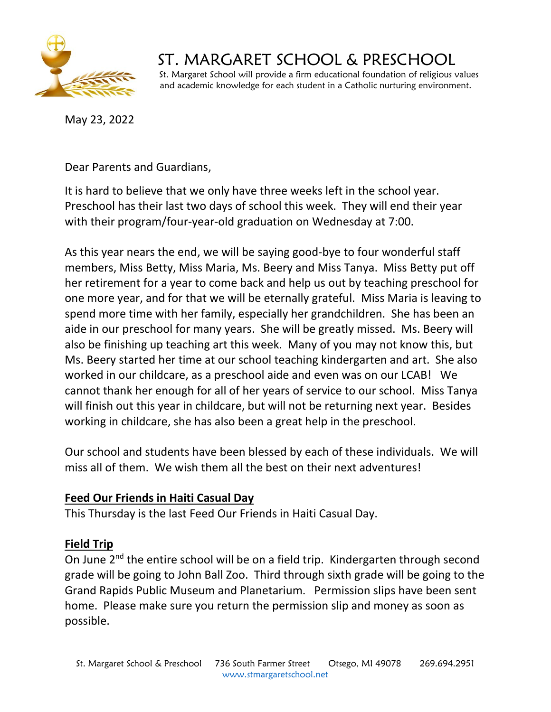

# ST. MARGARET SCHOOL & PRESCHOOL

 St. Margaret School will provide a firm educational foundation of religious values and academic knowledge for each student in a Catholic nurturing environment.

May 23, 2022

Dear Parents and Guardians,

It is hard to believe that we only have three weeks left in the school year. Preschool has their last two days of school this week. They will end their year with their program/four-year-old graduation on Wednesday at 7:00.

As this year nears the end, we will be saying good-bye to four wonderful staff members, Miss Betty, Miss Maria, Ms. Beery and Miss Tanya. Miss Betty put off her retirement for a year to come back and help us out by teaching preschool for one more year, and for that we will be eternally grateful. Miss Maria is leaving to spend more time with her family, especially her grandchildren. She has been an aide in our preschool for many years. She will be greatly missed. Ms. Beery will also be finishing up teaching art this week. Many of you may not know this, but Ms. Beery started her time at our school teaching kindergarten and art. She also worked in our childcare, as a preschool aide and even was on our LCAB! We cannot thank her enough for all of her years of service to our school. Miss Tanya will finish out this year in childcare, but will not be returning next year. Besides working in childcare, she has also been a great help in the preschool.

Our school and students have been blessed by each of these individuals. We will miss all of them. We wish them all the best on their next adventures!

#### **Feed Our Friends in Haiti Casual Day**

This Thursday is the last Feed Our Friends in Haiti Casual Day.

#### **Field Trip**

On June 2<sup>nd</sup> the entire school will be on a field trip. Kindergarten through second grade will be going to John Ball Zoo. Third through sixth grade will be going to the Grand Rapids Public Museum and Planetarium. Permission slips have been sent home. Please make sure you return the permission slip and money as soon as possible.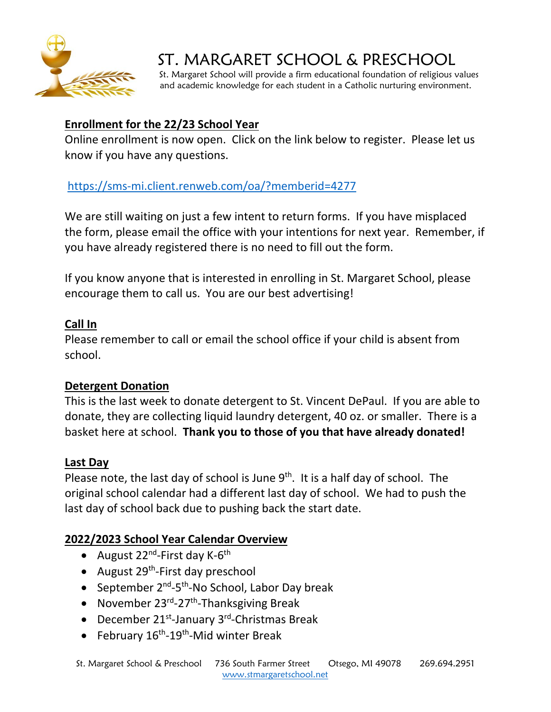

# ST. MARGARET SCHOOL & PRESCHOOL

 St. Margaret School will provide a firm educational foundation of religious values and academic knowledge for each student in a Catholic nurturing environment.

### **Enrollment for the 22/23 School Year**

Online enrollment is now open. Click on the link below to register. Please let us know if you have any questions.

## <https://sms-mi.client.renweb.com/oa/?memberid=4277>

We are still waiting on just a few intent to return forms. If you have misplaced the form, please email the office with your intentions for next year. Remember, if you have already registered there is no need to fill out the form.

If you know anyone that is interested in enrolling in St. Margaret School, please encourage them to call us. You are our best advertising!

#### **Call In**

Please remember to call or email the school office if your child is absent from school.

#### **Detergent Donation**

This is the last week to donate detergent to St. Vincent DePaul. If you are able to donate, they are collecting liquid laundry detergent, 40 oz. or smaller. There is a basket here at school. **Thank you to those of you that have already donated!**

#### **Last Day**

Please note, the last day of school is June  $9<sup>th</sup>$ . It is a half day of school. The original school calendar had a different last day of school. We had to push the last day of school back due to pushing back the start date.

## **2022/2023 School Year Calendar Overview**

- August 22<sup>nd</sup>-First day K-6<sup>th</sup>
- August 29<sup>th</sup>-First day preschool
- September 2<sup>nd</sup>-5<sup>th</sup>-No School, Labor Day break
- November 23<sup>rd</sup>-27<sup>th</sup>-Thanksgiving Break
- December 21<sup>st</sup>-January 3<sup>rd</sup>-Christmas Break
- February 16<sup>th</sup>-19<sup>th</sup>-Mid winter Break